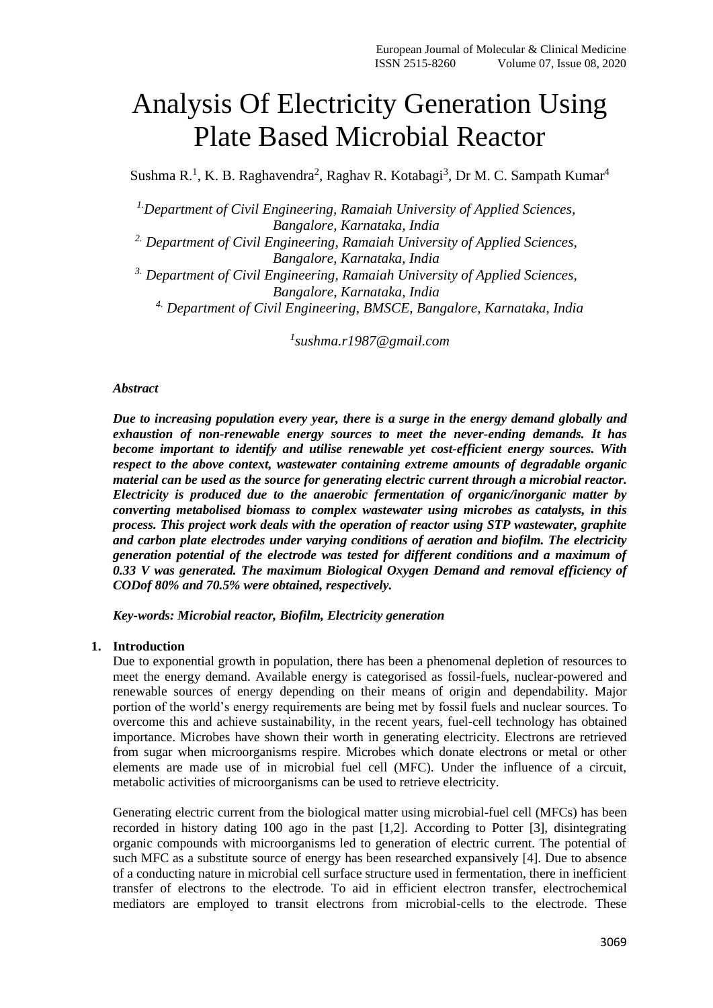# Analysis Of Electricity Generation Using Plate Based Microbial Reactor

Sushma R.<sup>1</sup>, K. B. Raghavendra<sup>2</sup>, Raghav R. Kotabagi<sup>3</sup>, Dr M. C. Sampath Kumar<sup>4</sup>

*1.Department of Civil Engineering, Ramaiah University of Applied Sciences, Bangalore, Karnataka, India 2. Department of Civil Engineering, Ramaiah University of Applied Sciences, Bangalore, Karnataka, India 3. Department of Civil Engineering, Ramaiah University of Applied Sciences, Bangalore, Karnataka, India 4. Department of Civil Engineering, BMSCE, Bangalore, Karnataka, India*

*1 [sushma.r1987@gmail.com](mailto:sushma.r1987@gmail.com)*

#### *Abstract*

*Due to increasing population every year, there is a surge in the energy demand globally and exhaustion of non-renewable energy sources to meet the never-ending demands. It has become important to identify and utilise renewable yet cost-efficient energy sources. With respect to the above context, wastewater containing extreme amounts of degradable organic material can be used as the source for generating electric current through a microbial reactor. Electricity is produced due to the anaerobic fermentation of organic/inorganic matter by converting metabolised biomass to complex wastewater using microbes as catalysts, in this process. This project work deals with the operation of reactor using STP wastewater, graphite and carbon plate electrodes under varying conditions of aeration and biofilm. The electricity generation potential of the electrode was tested for different conditions and a maximum of 0.33 V was generated. The maximum Biological Oxygen Demand and removal efficiency of CODof 80% and 70.5% were obtained, respectively.*

*Key-words: Microbial reactor, Biofilm, Electricity generation* 

#### **1. Introduction**

Due to exponential growth in population, there has been a phenomenal depletion of resources to meet the energy demand. Available energy is categorised as fossil-fuels, nuclear-powered and renewable sources of energy depending on their means of origin and dependability. Major portion of the world's energy requirements are being met by fossil fuels and nuclear sources. To overcome this and achieve sustainability, in the recent years, fuel-cell technology has obtained importance. Microbes have shown their worth in generating electricity. Electrons are retrieved from sugar when microorganisms respire. Microbes which donate electrons or metal or other elements are made use of in microbial fuel cell (MFC). Under the influence of a circuit, metabolic activities of microorganisms can be used to retrieve electricity.

Generating electric current from the biological matter using microbial-fuel cell (MFCs) has been recorded in history dating 100 ago in the past [1,2]. According to Potter [3], disintegrating organic compounds with microorganisms led to generation of electric current. The potential of such MFC as a substitute source of energy has been researched expansively [4]. Due to absence of a conducting nature in microbial cell surface structure used in fermentation, there in inefficient transfer of electrons to the electrode. To aid in efficient electron transfer, electrochemical mediators are employed to transit electrons from microbial-cells to the electrode. These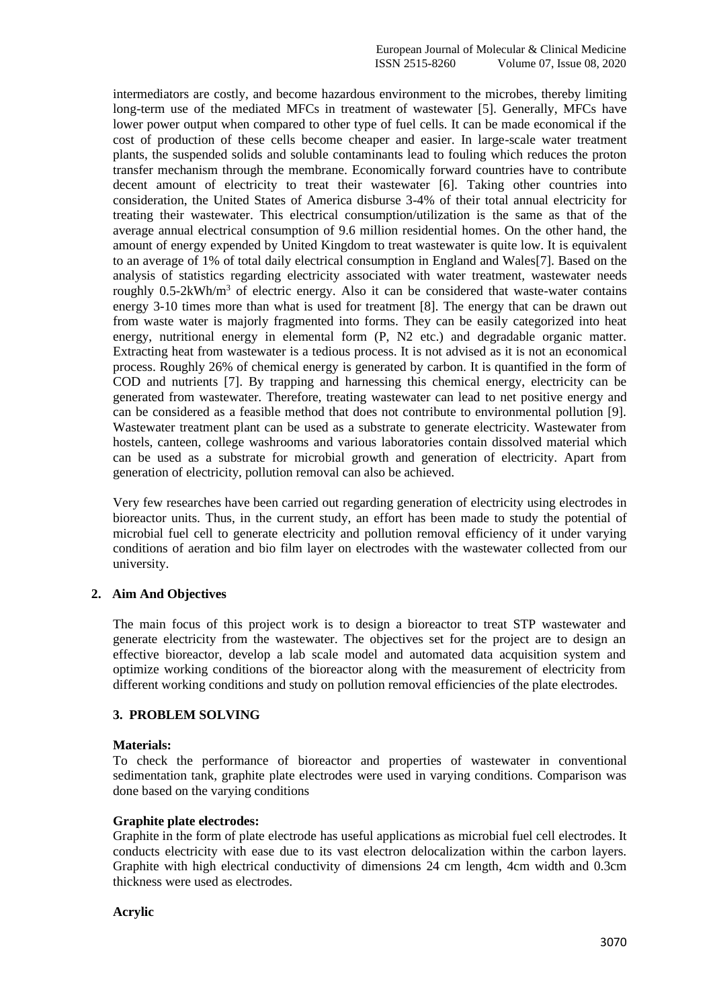intermediators are costly, and become hazardous environment to the microbes, thereby limiting long-term use of the mediated MFCs in treatment of wastewater [5]. Generally, MFCs have lower power output when compared to other type of fuel cells. It can be made economical if the cost of production of these cells become cheaper and easier. In large-scale water treatment plants, the suspended solids and soluble contaminants lead to fouling which reduces the proton transfer mechanism through the membrane. Economically forward countries have to contribute decent amount of electricity to treat their wastewater [6]. Taking other countries into consideration, the United States of America disburse 3-4% of their total annual electricity for treating their wastewater. This electrical consumption/utilization is the same as that of the average annual electrical consumption of 9.6 million residential homes. On the other hand, the amount of energy expended by United Kingdom to treat wastewater is quite low. It is equivalent to an average of 1% of total daily electrical consumption in England and Wales[7]. Based on the analysis of statistics regarding electricity associated with water treatment, wastewater needs roughly 0.5-2kWh/m<sup>3</sup> of electric energy. Also it can be considered that waste-water contains energy 3-10 times more than what is used for treatment [8]. The energy that can be drawn out from waste water is majorly fragmented into forms. They can be easily categorized into heat energy, nutritional energy in elemental form (P, N2 etc.) and degradable organic matter. Extracting heat from wastewater is a tedious process. It is not advised as it is not an economical process. Roughly 26% of chemical energy is generated by carbon. It is quantified in the form of COD and nutrients [7]. By trapping and harnessing this chemical energy, electricity can be generated from wastewater. Therefore, treating wastewater can lead to net positive energy and can be considered as a feasible method that does not contribute to environmental pollution [9]. Wastewater treatment plant can be used as a substrate to generate electricity. Wastewater from hostels, canteen, college washrooms and various laboratories contain dissolved material which can be used as a substrate for microbial growth and generation of electricity. Apart from generation of electricity, pollution removal can also be achieved.

Very few researches have been carried out regarding generation of electricity using electrodes in bioreactor units. Thus, in the current study, an effort has been made to study the potential of microbial fuel cell to generate electricity and pollution removal efficiency of it under varying conditions of aeration and bio film layer on electrodes with the wastewater collected from our university.

# **2. Aim And Objectives**

The main focus of this project work is to design a bioreactor to treat STP wastewater and generate electricity from the wastewater. The objectives set for the project are to design an effective bioreactor, develop a lab scale model and automated data acquisition system and optimize working conditions of the bioreactor along with the measurement of electricity from different working conditions and study on pollution removal efficiencies of the plate electrodes.

# **3. PROBLEM SOLVING**

# **Materials:**

To check the performance of bioreactor and properties of wastewater in conventional sedimentation tank, graphite plate electrodes were used in varying conditions. Comparison was done based on the varying conditions

# **Graphite plate electrodes:**

Graphite in the form of plate electrode has useful applications as microbial fuel cell electrodes. It conducts electricity with ease due to its vast electron delocalization within the carbon layers. Graphite with high electrical conductivity of dimensions 24 cm length, 4cm width and 0.3cm thickness were used as electrodes.

# **Acrylic**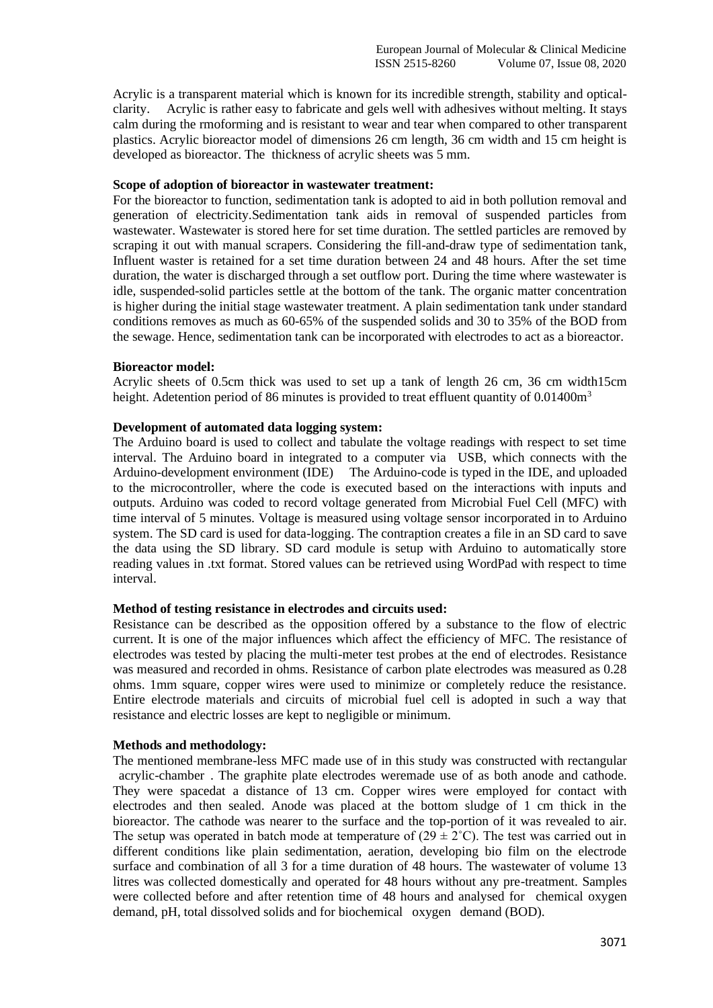Acrylic is a transparent material which is known for its incredible strength, stability and opticalclarity. Acrylic is rather easy to fabricate and gels well with adhesives without melting. It stays calm during the rmoforming and is resistant to wear and tear when compared to other transparent plastics. Acrylic bioreactor model of dimensions 26 cm length, 36 cm width and 15 cm height is developed as bioreactor. The thickness of acrylic sheets was 5 mm.

#### **Scope of adoption of bioreactor in wastewater treatment:**

For the bioreactor to function, sedimentation tank is adopted to aid in both pollution removal and generation of electricity.Sedimentation tank aids in removal of suspended particles from wastewater. Wastewater is stored here for set time duration. The settled particles are removed by scraping it out with manual scrapers. Considering the fill-and-draw type of sedimentation tank, Influent waster is retained for a set time duration between 24 and 48 hours. After the set time duration, the water is discharged through a set outflow port. During the time where wastewater is idle, suspended-solid particles settle at the bottom of the tank. The organic matter concentration is higher during the initial stage wastewater treatment. A plain sedimentation tank under standard conditions removes as much as 60-65% of the suspended solids and 30 to 35% of the BOD from the sewage. Hence, sedimentation tank can be incorporated with electrodes to act as a bioreactor.

#### **Bioreactor model:**

Acrylic sheets of 0.5cm thick was used to set up a tank of length 26 cm, 36 cm width15cm height. Adetention period of 86 minutes is provided to treat effluent quantity of 0.01400m<sup>3</sup>

#### **Development of automated data logging system:**

The Arduino board is used to collect and tabulate the voltage readings with respect to set time interval. The Arduino board in integrated to a computer via USB, which connects with the Arduino-development environment (IDE). The Arduino-code is typed in the IDE, and uploaded to the microcontroller, where the code is executed based on the interactions with inputs and outputs. Arduino was coded to record voltage generated from Microbial Fuel Cell (MFC) with time interval of 5 minutes. Voltage is measured using voltage sensor incorporated in to Arduino system. The SD card is used for data-logging. The contraption creates a file in an SD card to save the data using the SD library. SD card module is setup with Arduino to automatically store reading values in .txt format. Stored values can be retrieved using WordPad with respect to time interval.

# **Method of testing resistance in electrodes and circuits used:**

Resistance can be described as the opposition offered by a substance to the flow of electric current. It is one of the major influences which affect the efficiency of MFC. The resistance of electrodes was tested by placing the multi-meter test probes at the end of electrodes. Resistance was measured and recorded in ohms. Resistance of carbon plate electrodes was measured as 0.28 ohms. 1mm square, copper wires were used to minimize or completely reduce the resistance. Entire electrode materials and circuits of microbial fuel cell is adopted in such a way that resistance and electric losses are kept to negligible or minimum.

# **Methods and methodology:**

The mentioned membrane-less MFC made use of in this study was constructed with rectangular acrylic-chamber". The graphite plate electrodes weremade use of as both anode and cathode. They were spacedat a distance of 13 cm. Copper wires were employed for contact with electrodes and then sealed. Anode was placed at the bottom sludge of 1 cm thick in the bioreactor. The cathode was nearer to the surface and the top-portion of it was revealed to air. The setup was operated in batch mode at temperature of  $(29 \pm 2^{\circ} \text{C})$ . The test was carried out in different conditions like plain sedimentation, aeration, developing bio film on the electrode surface and combination of all 3 for a time duration of 48 hours. The wastewater of volume 13 litres was collected domestically and operated for 48 hours without any pre-treatment. Samples were collected before and after retention time of 48 hours and analysed for chemical oxygen demand, pH, total dissolved solids and for biochemical oxygen demand (BOD).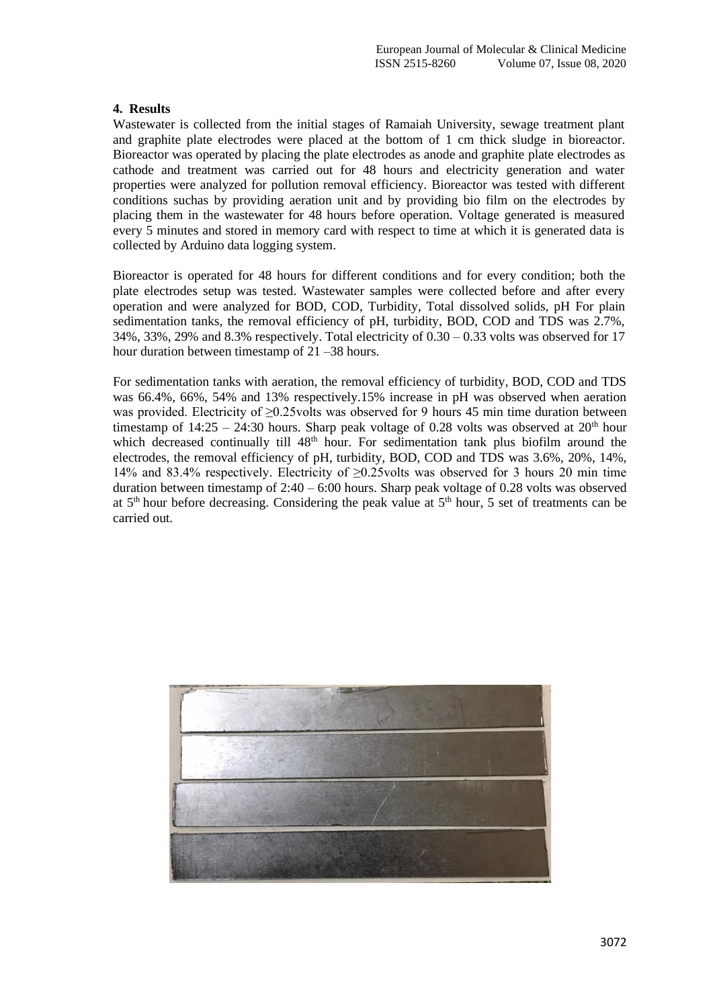# **4. Results**

Wastewater is collected from the initial stages of Ramaiah University, sewage treatment plant and graphite plate electrodes were placed at the bottom of 1 cm thick sludge in bioreactor. Bioreactor was operated by placing the plate electrodes as anode and graphite plate electrodes as cathode and treatment was carried out for 48 hours and electricity generation and water properties were analyzed for pollution removal efficiency. Bioreactor was tested with different conditions suchas by providing aeration unit and by providing bio film on the electrodes by placing them in the wastewater for 48 hours before operation. Voltage generated is measured every 5 minutes and stored in memory card with respect to time at which it is generated data is collected by Arduino data logging system.

Bioreactor is operated for 48 hours for different conditions and for every condition; both the plate electrodes setup was tested. Wastewater samples were collected before and after every operation and were analyzed for BOD, COD, Turbidity, Total dissolved solids, pH For plain sedimentation tanks, the removal efficiency of pH, turbidity, BOD, COD and TDS was 2.7%, 34%, 33%, 29% and 8.3% respectively. Total electricity of 0.30 – 0.33 volts was observed for 17 hour duration between timestamp of 21 – 38 hours.

For sedimentation tanks with aeration, the removal efficiency of turbidity, BOD, COD and TDS was 66.4%, 66%, 54% and 13% respectively.15% increase in pH was observed when aeration was provided. Electricity of ≥0.25volts was observed for 9 hours 45 min time duration between timestamp of  $14:25 - 24:30$  hours. Sharp peak voltage of 0.28 volts was observed at  $20<sup>th</sup>$  hour which decreased continually till 48<sup>th</sup> hour. For sedimentation tank plus biofilm around the electrodes, the removal efficiency of pH, turbidity, BOD, COD and TDS was 3.6%, 20%, 14%, 14% and 83.4% respectively. Electricity of ≥0.25volts was observed for 3 hours 20 min time duration between timestamp of 2:40 – 6:00 hours. Sharp peak voltage of 0.28 volts was observed at  $5<sup>th</sup>$  hour before decreasing. Considering the peak value at  $5<sup>th</sup>$  hour, 5 set of treatments can be carried out.

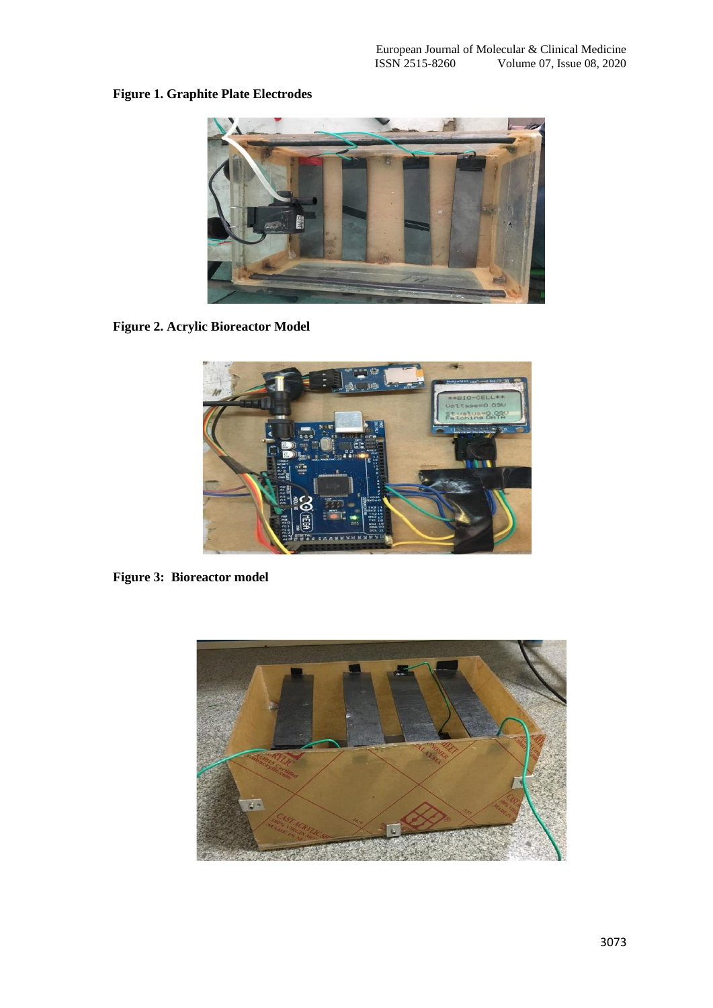# **Figure 1. Graphite Plate Electrodes**



**Figure 2. Acrylic Bioreactor Model**



**Figure 3: Bioreactor model**

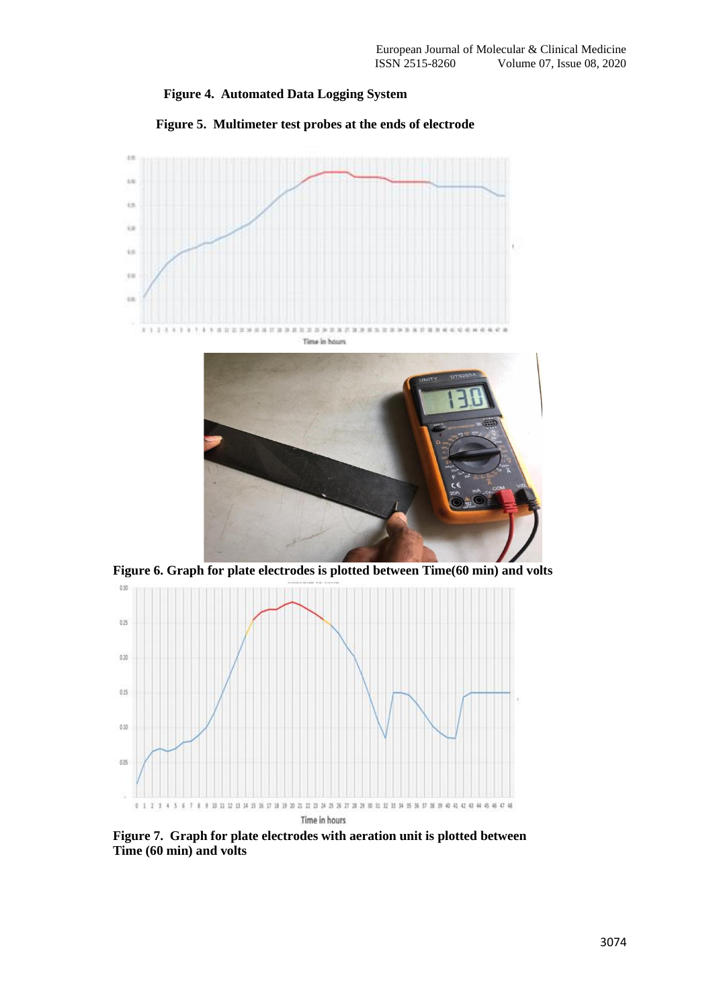



**Figure 5. Multimeter test probes at the ends of electrode**



**Figure 6. Graph for plate electrodes is plotted between Time(60 min) and volts**



**Figure 7. Graph for plate electrodes with aeration unit is plotted between Time (60 min) and volts**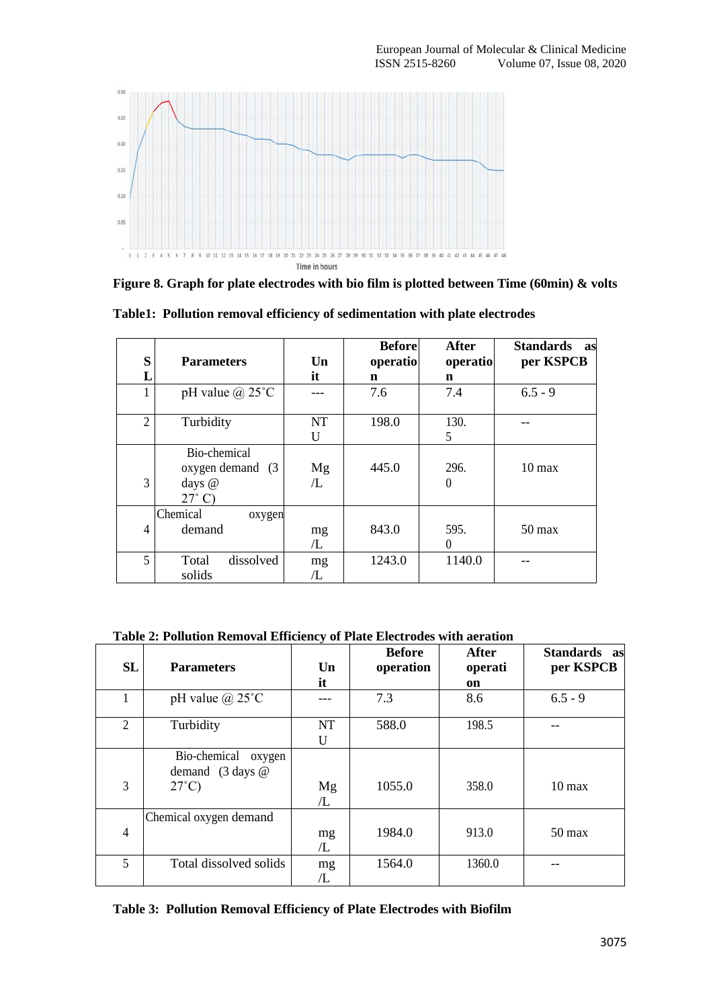

**Figure 8. Graph for plate electrodes with bio film is plotted between Time (60min) & volts**

| S              | <b>Parameters</b>                                              | Un             | <b>Before</b><br>operatio | <b>After</b><br>operatio | Standards as<br>per KSPCB |
|----------------|----------------------------------------------------------------|----------------|---------------------------|--------------------------|---------------------------|
|                |                                                                | it             | n                         | n                        |                           |
|                | pH value $\omega$ 25°C                                         |                | 7.6                       | 7.4                      | $6.5 - 9$                 |
| $\overline{2}$ | Turbidity                                                      | <b>NT</b><br>U | 198.0                     | 130.<br>5                |                           |
| 3              | Bio-chemical<br>oxygen demand (3)<br>days @<br>$27^{\circ}$ C) | Mg<br>Æ        | 445.0                     | 296.<br>$\theta$         | $10 \text{ max}$          |
| 4              | Chemical<br>oxygen<br>demand                                   | mg<br>/L       | 843.0                     | 595.<br>$\theta$         | $50 \text{ max}$          |
| 5              | dissolved<br>Total<br>solids                                   | mg<br>/L       | 1243.0                    | 1140.0                   |                           |

**Table1: Pollution removal efficiency of sedimentation with plate electrodes**

**Table 2: Pollution Removal Efficiency of Plate Electrodes with aeration**

| <b>SL</b>      | <b>Parameters</b>                          | Un        | <b>Before</b><br>operation | <b>After</b><br>operati | Standards as<br>per KSPCB |
|----------------|--------------------------------------------|-----------|----------------------------|-------------------------|---------------------------|
|                |                                            | it        |                            | on                      |                           |
|                | pH value $\omega$ 25°C                     |           | 7.3                        | 8.6                     | $6.5 - 9$                 |
| $\overline{2}$ | Turbidity                                  | <b>NT</b> | 588.0                      | 198.5                   |                           |
|                |                                            | U         |                            |                         |                           |
|                | Bio-chemical<br>oxygen                     |           |                            |                         |                           |
|                | demand $(3 \text{ days } \textcircled{a})$ |           |                            |                         |                           |
| 3              | $27^{\circ}$ C)                            | Mg        | 1055.0                     | 358.0                   | $10 \text{ max}$          |
|                |                                            | L         |                            |                         |                           |
|                | Chemical oxygen demand                     |           |                            |                         |                           |
| $\overline{4}$ |                                            | mg        | 1984.0                     | 913.0                   | $50 \text{ max}$          |
|                |                                            | Æ         |                            |                         |                           |
| 5              | Total dissolved solids                     | mg        | 1564.0                     | 1360.0                  |                           |
|                |                                            | Æ         |                            |                         |                           |

**Table 3: Pollution Removal Efficiency of Plate Electrodes with Biofilm**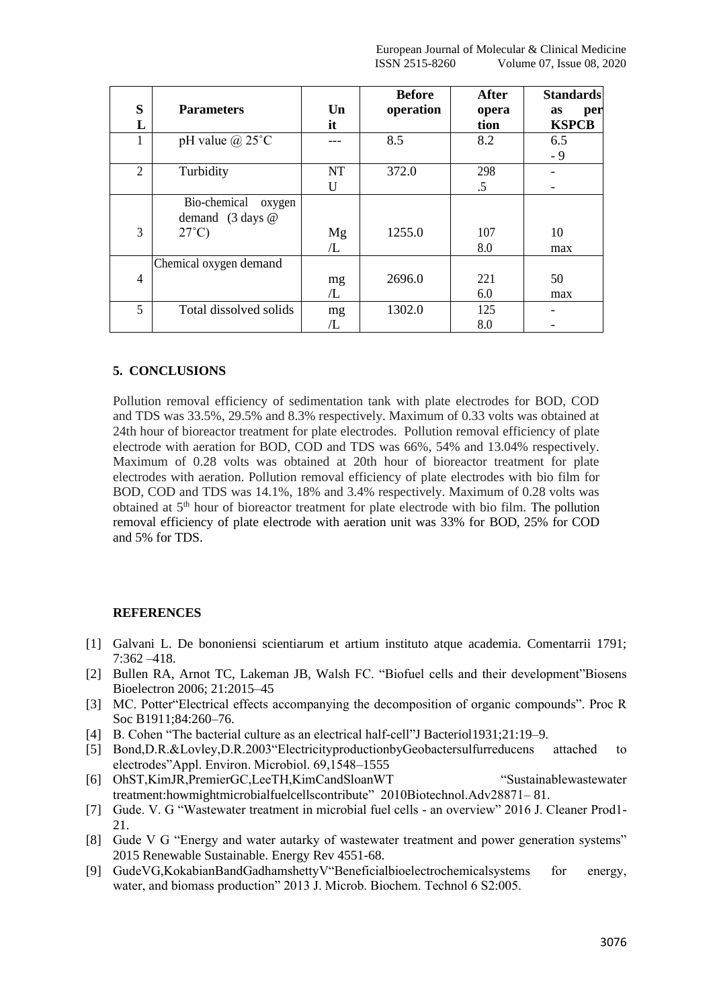| S<br>L         | <b>Parameters</b>                                                        | $\mathbf{U}\mathbf{n}$<br>it | <b>Before</b><br>operation | <b>After</b><br>opera<br>tion | <b>Standards</b><br>per<br>as<br><b>KSPCB</b> |
|----------------|--------------------------------------------------------------------------|------------------------------|----------------------------|-------------------------------|-----------------------------------------------|
| 1              | pH value $\omega$ 25°C                                                   |                              | 8.5                        | 8.2                           | 6.5<br>$-9$                                   |
| $\overline{2}$ | Turbidity                                                                | <b>NT</b><br>U               | 372.0                      | 298<br>.5                     |                                               |
| 3              | Bio-chemical<br>oxygen<br>demand $(3 \text{ days } @$<br>$27^{\circ}$ C) | Mg<br>L                      | 1255.0                     | 107<br>8.0                    | 10<br>max                                     |
| $\overline{4}$ | Chemical oxygen demand                                                   | mg<br>/L                     | 2696.0                     | 221<br>6.0                    | 50<br>max                                     |
| 5              | Total dissolved solids                                                   | mg<br>/L                     | 1302.0                     | 125<br>8.0                    |                                               |

# **5. CONCLUSIONS**

Pollution removal efficiency of sedimentation tank with plate electrodes for BOD, COD and TDS was 33.5%, 29.5% and 8.3% respectively. Maximum of 0.33 volts was obtained at 24th hour of bioreactor treatment for plate electrodes. Pollution removal efficiency of plate electrode with aeration for BOD, COD and TDS was 66%, 54% and 13.04% respectively. Maximum of 0.28 volts was obtained at 20th hour of bioreactor treatment for plate electrodes with aeration. Pollution removal efficiency of plate electrodes with bio film for BOD, COD and TDS was 14.1%, 18% and 3.4% respectively. Maximum of 0.28 volts was obtained at 5<sup>th</sup> hour of bioreactor treatment for plate electrode with bio film. The pollution removal efficiency of plate electrode with aeration unit was 33% for BOD, 25% for COD and 5% for TDS.

# **REFERENCES**

- [1] Galvani L. De bononiensi scientiarum et artium instituto atque academia. Comentarrii 1791; 7:362 –418.
- [2] Bullen RA, Arnot TC, Lakeman JB, Walsh FC. "Biofuel cells and their development"Biosens Bioelectron 2006; 21:2015–45
- [3] MC. Potter"Electrical effects accompanying the decomposition of organic compounds". Proc R Soc B1911;84:260–76.
- [4] B. Cohen "The bacterial culture as an electrical half-cell"J Bacteriol1931;21:19–9.
- [5] Bond,D.R.&Lovley,D.R.2003"ElectricityproductionbyGeobactersulfurreducens attached to electrodes"Appl. Environ. Microbiol. 69,1548–1555
- [6] OhST,KimJR,PremierGC,LeeTH,KimCandSloanWT "Sustainablewastewater treatment:howmightmicrobialfuelcellscontribute" 2010Biotechnol.Adv28871– 81.
- [7] Gude. V. G "Wastewater treatment in microbial fuel cells an overview" 2016 J. Cleaner Prod1- 21.
- [8] Gude V G "Energy and water autarky of wastewater treatment and power generation systems" 2015 Renewable Sustainable. Energy Rev 4551-68.
- [9] GudeVG,KokabianBandGadhamshettyV"Beneficialbioelectrochemicalsystems for energy, water, and biomass production" 2013 J. Microb. Biochem. Technol 6 S2:005.